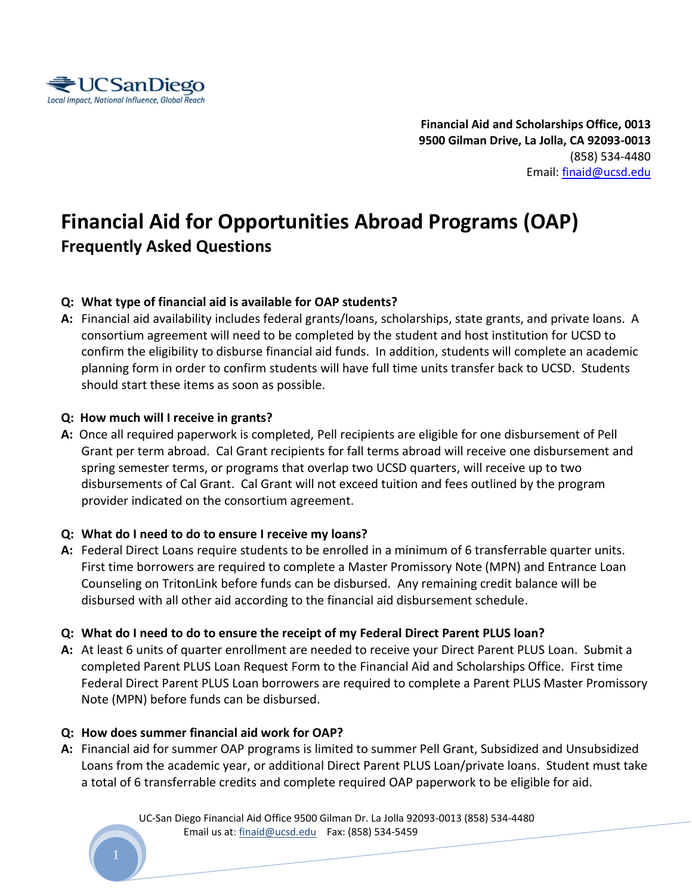

**Financial Aid and Scholarships Office, 0013 9500 Gilman Drive, La Jolla, CA 92093-0013**  (858) 534-4480 Email: [finaid@ucsd.edu](mailto:finaid@ucsd.edu)

# **Financial Aid for Opportunities Abroad Programs (OAP) Frequently Asked Questions**

# **Q: What type of financial aid is available for OAP students?**

**A:** Financial aid availability includes federal grants/loans, scholarships, state grants, and private loans. A consortium agreement will need to be completed by the student and host institution for UCSD to confirm the eligibility to disburse financial aid funds. In addition, students will complete an academic planning form in order to confirm students will have full time units transfer back to UCSD. Students should start these items as soon as possible.

## **Q: How much will I receive in grants?**

**A:** Once all required paperwork is completed, Pell recipients are eligible for one disbursement of Pell Grant per term abroad. Cal Grant recipients for fall terms abroad will receive one disbursement and spring semester terms, or programs that overlap two UCSD quarters, will receive up to two disbursements of Cal Grant. Cal Grant will not exceed tuition and fees outlined by the program provider indicated on the consortium agreement.

# **Q: What do I need to do to ensure I receive my loans?**

**A:** Federal Direct Loans require students to be enrolled in a minimum of 6 transferrable quarter units. First time borrowers are required to complete a Master Promissory Note (MPN) and Entrance Loan Counseling on TritonLink before funds can be disbursed. Any remaining credit balance will be disbursed with all other aid according to the financial aid disbursement schedule.

#### **Q: What do I need to do to ensure the receipt of my Federal Direct Parent PLUS loan?**

**A:** At least 6 units of quarter enrollment are needed to receive your Direct Parent PLUS Loan. Submit a completed Parent PLUS Loan Request Form to the Financial Aid and Scholarships Office. First time Federal Direct Parent PLUS Loan borrowers are required to complete a Parent PLUS Master Promissory Note (MPN) before funds can be disbursed.

#### **Q: How does summer financial aid work for OAP?**

**A:** Financial aid for summer OAP programs is limited to summer Pell Grant, Subsidized and Unsubsidized Loans from the academic year, or additional Direct Parent PLUS Loan/private loans. Student must take a total of 6 transferrable credits and complete required OAP paperwork to be eligible for aid.